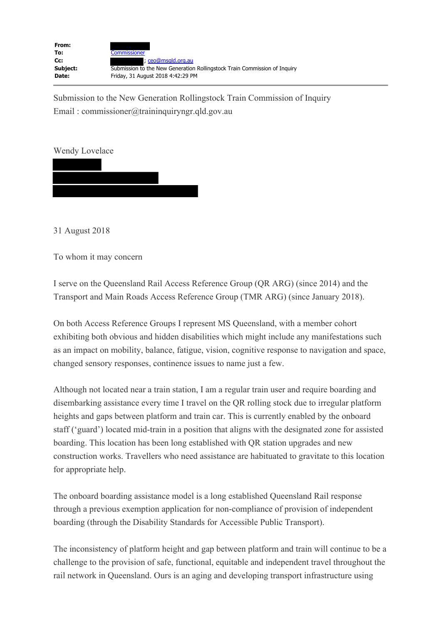| From:<br>To: | <b>Commissioner</b>                                                       |
|--------------|---------------------------------------------------------------------------|
| $Cc$ :       | : ceo@msgld.org.au                                                        |
| Subject:     | Submission to the New Generation Rollingstock Train Commission of Inquiry |
| Date:        | Friday, 31 August 2018 4:42:29 PM                                         |

Submission to the New Generation Rollingstock Train Commission of Inquiry Email : commissioner@traininquiryngr.qld.gov.au

Wendy Lovelace

31 August 2018

To whom it may concern

I serve on the Queensland Rail Access Reference Group (QR ARG) (since 2014) and the Transport and Main Roads Access Reference Group (TMR ARG) (since January 2018).

On both Access Reference Groups I represent MS Queensland, with a member cohort exhibiting both obvious and hidden disabilities which might include any manifestations such as an impact on mobility, balance, fatigue, vision, cognitive response to navigation and space, changed sensory responses, continence issues to name just a few.

Although not located near a train station, I am a regular train user and require boarding and disembarking assistance every time I travel on the QR rolling stock due to irregular platform heights and gaps between platform and train car. This is currently enabled by the onboard staff ('guard') located mid-train in a position that aligns with the designated zone for assisted boarding. This location has been long established with QR station upgrades and new construction works. Travellers who need assistance are habituated to gravitate to this location for appropriate help.

The onboard boarding assistance model is a long established Queensland Rail response through a previous exemption application for non-compliance of provision of independent boarding (through the Disability Standards for Accessible Public Transport).

The inconsistency of platform height and gap between platform and train will continue to be a challenge to the provision of safe, functional, equitable and independent travel throughout the rail network in Queensland. Ours is an aging and developing transport infrastructure using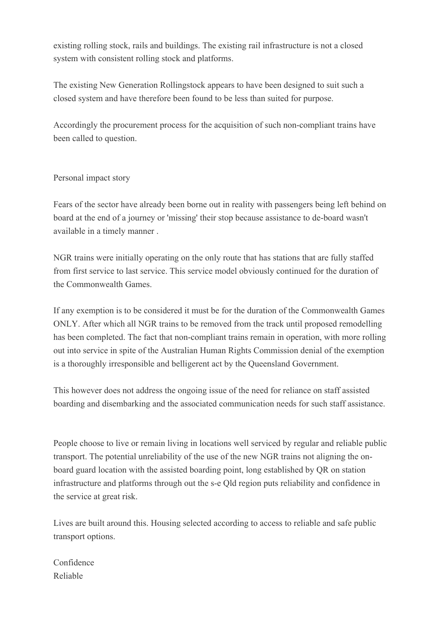existing rolling stock, rails and buildings. The existing rail infrastructure is not a closed system with consistent rolling stock and platforms.

The existing New Generation Rollingstock appears to have been designed to suit such a closed system and have therefore been found to be less than suited for purpose.

Accordingly the procurement process for the acquisition of such non-compliant trains have been called to question.

## Personal impact story

Fears of the sector have already been borne out in reality with passengers being left behind on board at the end of a journey or 'missing' their stop because assistance to de-board wasn't available in a timely manner .

NGR trains were initially operating on the only route that has stations that are fully staffed from first service to last service. This service model obviously continued for the duration of the Commonwealth Games.

If any exemption is to be considered it must be for the duration of the Commonwealth Games ONLY. After which all NGR trains to be removed from the track until proposed remodelling has been completed. The fact that non-compliant trains remain in operation, with more rolling out into service in spite of the Australian Human Rights Commission denial of the exemption is a thoroughly irresponsible and belligerent act by the Queensland Government.

This however does not address the ongoing issue of the need for reliance on staff assisted boarding and disembarking and the associated communication needs for such staff assistance.

People choose to live or remain living in locations well serviced by regular and reliable public transport. The potential unreliability of the use of the new NGR trains not aligning the onboard guard location with the assisted boarding point, long established by QR on station infrastructure and platforms through out the s-e Qld region puts reliability and confidence in the service at great risk.

Lives are built around this. Housing selected according to access to reliable and safe public transport options.

Confidence Reliable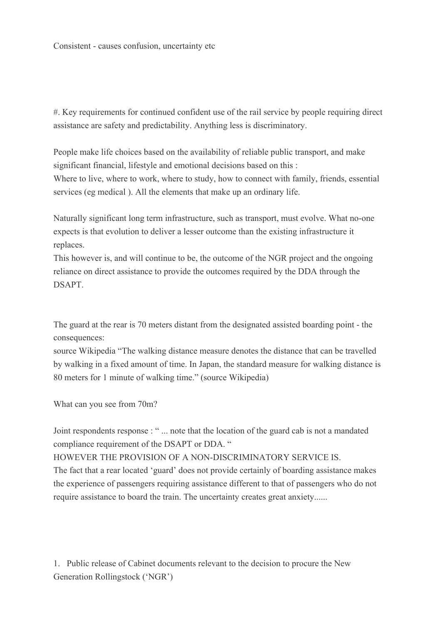#. Key requirements for continued confident use of the rail service by people requiring direct assistance are safety and predictability. Anything less is discriminatory.

People make life choices based on the availability of reliable public transport, and make significant financial, lifestyle and emotional decisions based on this : Where to live, where to work, where to study, how to connect with family, friends, essential

services (eg medical ). All the elements that make up an ordinary life.

Naturally significant long term infrastructure, such as transport, must evolve. What no-one expects is that evolution to deliver a lesser outcome than the existing infrastructure it replaces.

This however is, and will continue to be, the outcome of the NGR project and the ongoing reliance on direct assistance to provide the outcomes required by the DDA through the DSAPT.

The guard at the rear is 70 meters distant from the designated assisted boarding point - the consequences:

source Wikipedia "The walking distance measure denotes the distance that can be travelled by walking in a fixed amount of time. In Japan, the standard measure for walking distance is 80 meters for 1 minute of walking time." (source Wikipedia)

What can you see from 70m?

Joint respondents response : " ... note that the location of the guard cab is not a mandated compliance requirement of the DSAPT or DDA. "

HOWEVER THE PROVISION OF A NON-DISCRIMINATORY SERVICE IS.

The fact that a rear located 'guard' does not provide certainly of boarding assistance makes the experience of passengers requiring assistance different to that of passengers who do not require assistance to board the train. The uncertainty creates great anxiety......

1. Public release of Cabinet documents relevant to the decision to procure the New Generation Rollingstock ('NGR')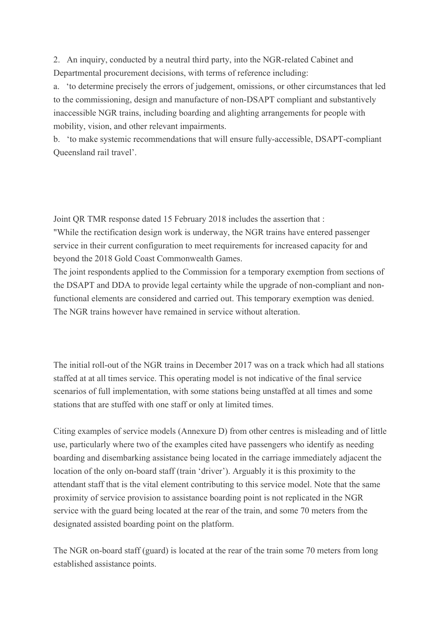2. An inquiry, conducted by a neutral third party, into the NGR-related Cabinet and Departmental procurement decisions, with terms of reference including:

a. 'to determine precisely the errors of judgement, omissions, or other circumstances that led to the commissioning, design and manufacture of non-DSAPT compliant and substantively inaccessible NGR trains, including boarding and alighting arrangements for people with mobility, vision, and other relevant impairments.

b. 'to make systemic recommendations that will ensure fully-accessible, DSAPT-compliant Queensland rail travel'.

Joint QR TMR response dated 15 February 2018 includes the assertion that : "While the rectification design work is underway, the NGR trains have entered passenger service in their current configuration to meet requirements for increased capacity for and beyond the 2018 Gold Coast Commonwealth Games.

The joint respondents applied to the Commission for a temporary exemption from sections of the DSAPT and DDA to provide legal certainty while the upgrade of non-compliant and nonfunctional elements are considered and carried out. This temporary exemption was denied. The NGR trains however have remained in service without alteration.

The initial roll-out of the NGR trains in December 2017 was on a track which had all stations staffed at at all times service. This operating model is not indicative of the final service scenarios of full implementation, with some stations being unstaffed at all times and some stations that are stuffed with one staff or only at limited times.

Citing examples of service models (Annexure D) from other centres is misleading and of little use, particularly where two of the examples cited have passengers who identify as needing boarding and disembarking assistance being located in the carriage immediately adjacent the location of the only on-board staff (train 'driver'). Arguably it is this proximity to the attendant staff that is the vital element contributing to this service model. Note that the same proximity of service provision to assistance boarding point is not replicated in the NGR service with the guard being located at the rear of the train, and some 70 meters from the designated assisted boarding point on the platform.

The NGR on-board staff (guard) is located at the rear of the train some 70 meters from long established assistance points.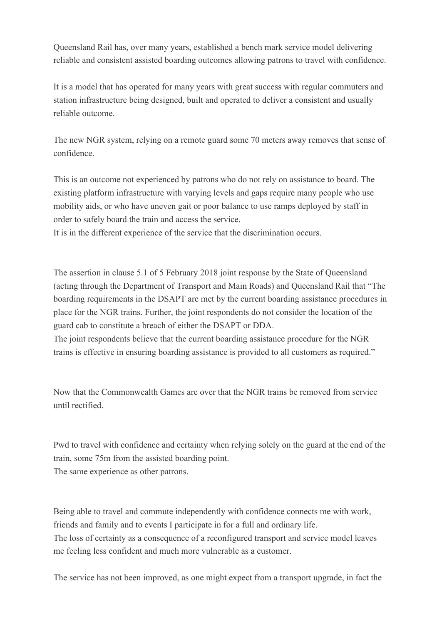Queensland Rail has, over many years, established a bench mark service model delivering reliable and consistent assisted boarding outcomes allowing patrons to travel with confidence.

It is a model that has operated for many years with great success with regular commuters and station infrastructure being designed, built and operated to deliver a consistent and usually reliable outcome.

The new NGR system, relying on a remote guard some 70 meters away removes that sense of confidence.

This is an outcome not experienced by patrons who do not rely on assistance to board. The existing platform infrastructure with varying levels and gaps require many people who use mobility aids, or who have uneven gait or poor balance to use ramps deployed by staff in order to safely board the train and access the service.

It is in the different experience of the service that the discrimination occurs.

The assertion in clause 5.1 of 5 February 2018 joint response by the State of Queensland (acting through the Department of Transport and Main Roads) and Queensland Rail that "The boarding requirements in the DSAPT are met by the current boarding assistance procedures in place for the NGR trains. Further, the joint respondents do not consider the location of the guard cab to constitute a breach of either the DSAPT or DDA.

The joint respondents believe that the current boarding assistance procedure for the NGR trains is effective in ensuring boarding assistance is provided to all customers as required."

Now that the Commonwealth Games are over that the NGR trains be removed from service until rectified.

Pwd to travel with confidence and certainty when relying solely on the guard at the end of the train, some 75m from the assisted boarding point. The same experience as other patrons.

Being able to travel and commute independently with confidence connects me with work, friends and family and to events I participate in for a full and ordinary life. The loss of certainty as a consequence of a reconfigured transport and service model leaves me feeling less confident and much more vulnerable as a customer.

The service has not been improved, as one might expect from a transport upgrade, in fact the